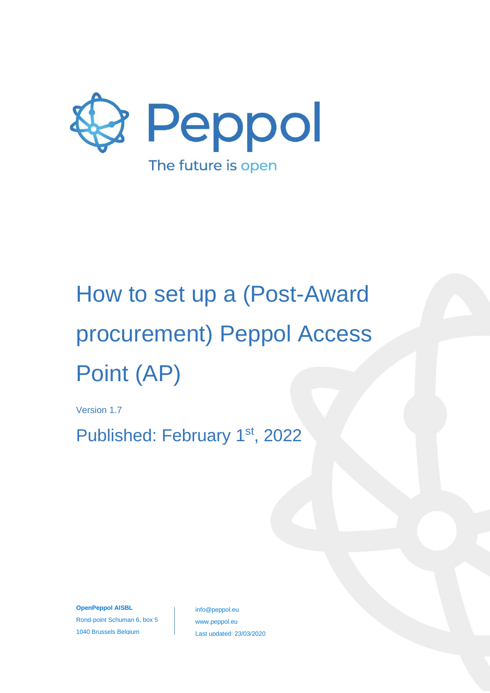

Version 1.7

Published: February 1<sup>st</sup>, 2022

**OpenPeppol AISBL** Rond-point Schuman 6, box 5 1040 Brussels Belgium

info@peppol.eu www.peppol.eu Last updated: 23/03/2020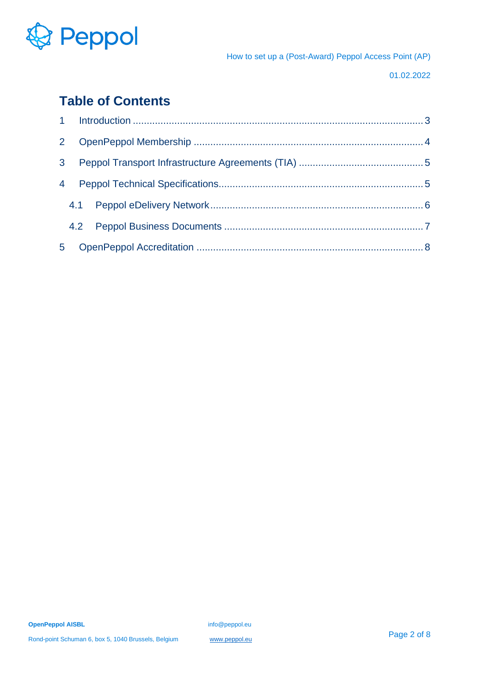

01.02.2022

## **Table of Contents**

| 2 <sup>2</sup> |  |  |
|----------------|--|--|
| 3 <sup>1</sup> |  |  |
| $\overline{4}$ |  |  |
|                |  |  |
|                |  |  |
| 5 <sup>1</sup> |  |  |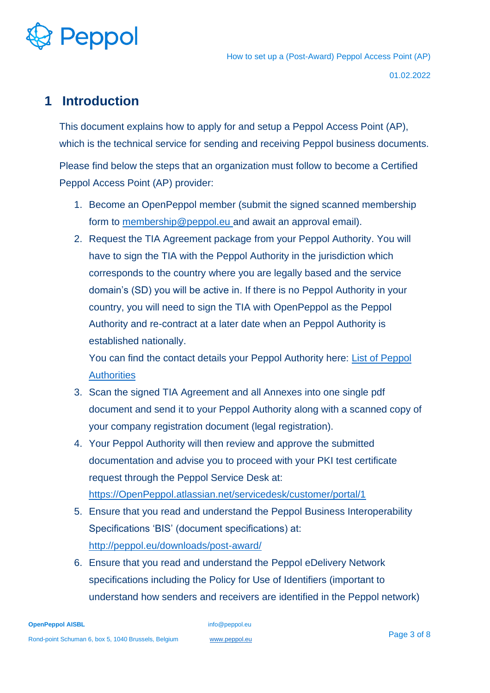

01.02.2022

#### <span id="page-2-0"></span>**1 Introduction**

This document explains how to apply for and setup a Peppol Access Point (AP), which is the technical service for sending and receiving Peppol business documents. Please find below the steps that an organization must follow to become a Certified Peppol Access Point (AP) provider:

- 1. Become an OpenPeppol member (submit the signed scanned membership form to [membership@peppol.eu a](mailto:membership@peppol.eu)nd await an approval email).
- 2. Request the TIA Agreement package from your Peppol Authority. You will have to sign the TIA with the Peppol Authority in the jurisdiction which corresponds to the country where you are legally based and the service domain's (SD) you will be active in. If there is no Peppol Authority in your country, you will need to sign the TIA with OpenPeppol as the Peppol Authority and re-contract at a later date when an Peppol Authority is established nationally.

You can find the contact details your Peppol Authority here: [List of Peppol](https://peppol.eu/who-is-who/peppol-authorities/)  **[Authorities](https://peppol.eu/who-is-who/peppol-authorities/)** 

- 3. Scan the signed TIA Agreement and all Annexes into one single pdf document and send it to your Peppol Authority along with a scanned copy of your company registration document (legal registration).
- 4. Your Peppol Authority will then review and approve the submitted documentation and advise you to proceed with your PKI test certificate request through the Peppol Service Desk at: [https://OpenPeppol.atlassian.net/servicedesk/customer/portal/1](https://openpeppol.atlassian.net/servicedesk/customer/portal/1)
- 5. Ensure that you read and understand the Peppol Business Interoperability Specifications 'BIS' (document specifications) at: <http://peppol.eu/downloads/post-award/>
- 6. Ensure that you read and understand the Peppol eDelivery Network specifications including the Policy for Use of Identifiers (important to understand how senders and receivers are identified in the Peppol network)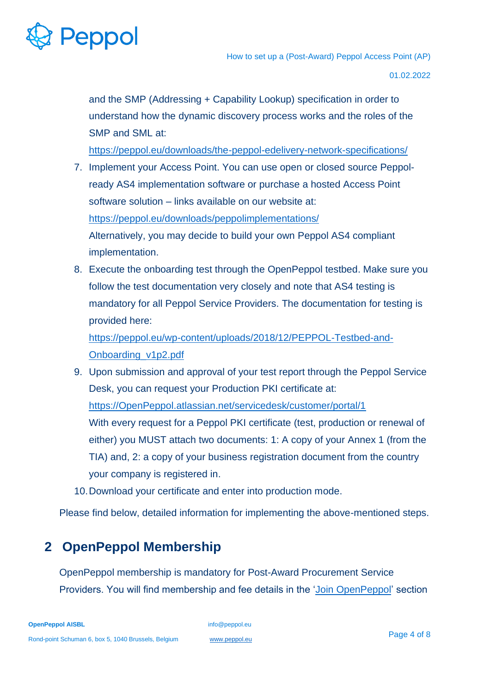# Peppol

How to set up a (Post-Award) Peppol Access Point (AP)

01.02.2022

and the SMP (Addressing + Capability Lookup) specification in order to understand how the dynamic discovery process works and the roles of the SMP and SML at:

<https://peppol.eu/downloads/the-peppol-edelivery-network-specifications/>

- 7. Implement your Access Point. You can use open or closed source Peppolready AS4 implementation software or purchase a hosted Access Point software solution – links available on our website at: <https://peppol.eu/downloads/peppolimplementations/> Alternatively, you may decide to build your own Peppol AS4 compliant implementation.
- 8. Execute the onboarding test through the OpenPeppol testbed. Make sure you follow the test documentation very closely and note that AS4 testing is mandatory for all Peppol Service Providers. The documentation for testing is provided here:

[https://peppol.eu/wp-content/uploads/2018/12/PEPPOL-Testbed-and-](https://peppol.eu/wp-content/uploads/2018/12/PEPPOL-Testbed-and-Onboarding_v1p2.pdf)[Onboarding\\_v1p2.pdf](https://peppol.eu/wp-content/uploads/2018/12/PEPPOL-Testbed-and-Onboarding_v1p2.pdf)

9. Upon submission and approval of your test report through the Peppol Service Desk, you can request your Production PKI certificate at: [https://OpenPeppol.atlassian.net/servicedesk/customer/portal/1](https://openpeppol.atlassian.net/servicedesk/customer/portal/1) With every request for a Peppol PKI certificate (test, production or renewal of either) you MUST attach two documents: 1: A copy of your Annex 1 (from the TIA) and, 2: a copy of your business registration document from the country your company is registered in.

10.Download your certificate and enter into production mode.

Please find below, detailed information for implementing the above-mentioned steps.

# <span id="page-3-0"></span>**2 OpenPeppol Membership**

OpenPeppol membership is mandatory for Post-Award Procurement Service Providers. You will find membership and fee details in the 'Join [OpenPeppol'](https://peppol.eu/get-involved/join-openpeppol/) section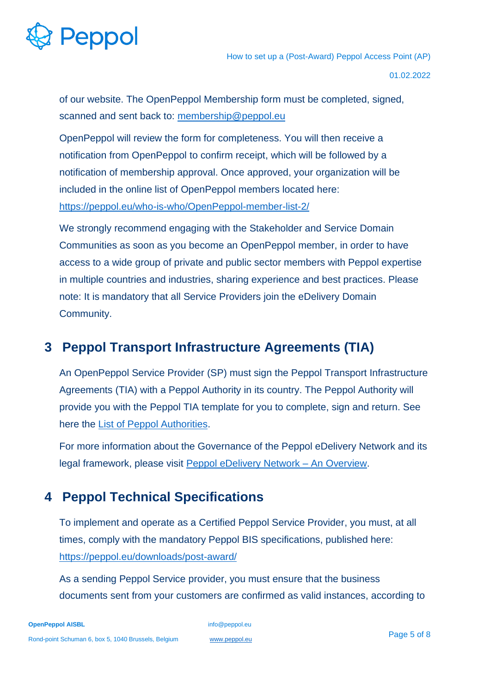

01.02.2022

of our website. The OpenPeppol Membership form must be completed, signed, scanned and sent back to: [membership@peppol.eu](mailto:membership@peppol.eu)

OpenPeppol will review the form for completeness. You will then receive a notification from OpenPeppol to confirm receipt, which will be followed by a notification of membership approval. Once approved, your organization will be included in the online list of OpenPeppol members located here: [https://peppol.eu/who-is-who/OpenPeppol-member-list-2/](https://peppol.eu/who-is-who/openpeppol-member-list-2/)

We strongly recommend engaging with the Stakeholder and Service Domain Communities as soon as you become an OpenPeppol member, in order to have access to a wide group of private and public sector members with Peppol expertise in multiple countries and industries, sharing experience and best practices. Please note: It is mandatory that all Service Providers join the eDelivery Domain Community.

### <span id="page-4-0"></span>**3 Peppol Transport Infrastructure Agreements (TIA)**

An OpenPeppol Service Provider (SP) must sign the Peppol Transport Infrastructure Agreements (TIA) with a Peppol Authority in its country. The Peppol Authority will provide you with the Peppol TIA template for you to complete, sign and return. See here the [List of Peppol Authorities.](https://peppol.eu/who-is-who/peppol-authorities/)

For more information about the Governance of the Peppol eDelivery Network and its legal framework, please visit [Peppol eDelivery Network](https://peppol.eu/what-is-peppol/peppol-transport-infrastructure/) – An Overview.

#### <span id="page-4-1"></span>**4 Peppol Technical Specifications**

To implement and operate as a Certified Peppol Service Provider, you must, at all times, comply with the mandatory Peppol BIS specifications, published here: <https://peppol.eu/downloads/post-award/>

As a sending Peppol Service provider, you must ensure that the business documents sent from your customers are confirmed as valid instances, according to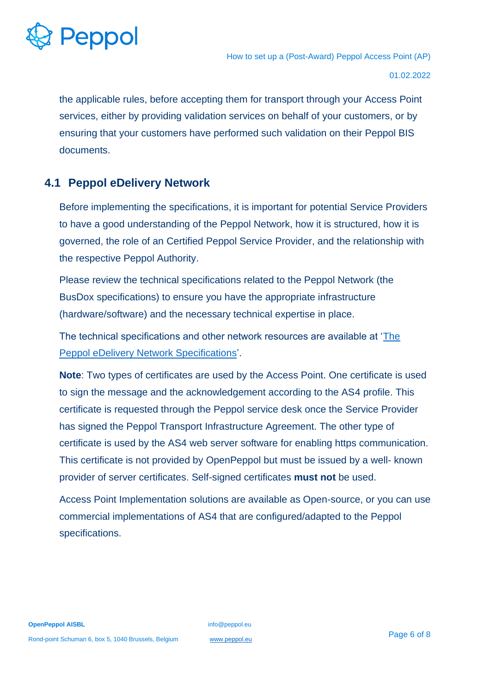

the applicable rules, before accepting them for transport through your Access Point services, either by providing validation services on behalf of your customers, or by ensuring that your customers have performed such validation on their Peppol BIS documents.

#### <span id="page-5-0"></span>**4.1 Peppol eDelivery Network**

Before implementing the specifications, it is important for potential Service Providers to have a good understanding of the Peppol Network, how it is structured, how it is governed, the role of an Certified Peppol Service Provider, and the relationship with the respective Peppol Authority.

Please review the technical specifications related to the Peppol Network (the BusDox specifications) to ensure you have the appropriate infrastructure (hardware/software) and the necessary technical expertise in place.

The technical specifications and other network resources are available at ['The](https://peppol.eu/downloads/the-peppol-edelivery-network-specifications/)  [Peppol eDelivery Network Specifications'](https://peppol.eu/downloads/the-peppol-edelivery-network-specifications/).

**Note**: Two types of certificates are used by the Access Point. One certificate is used to sign the message and the acknowledgement according to the AS4 profile. This certificate is requested through the Peppol service desk once the Service Provider has signed the Peppol Transport Infrastructure Agreement. The other type of certificate is used by the AS4 web server software for enabling https communication. This certificate is not provided by OpenPeppol but must be issued by a well- known provider of server certificates. Self-signed certificates **must not** be used.

Access Point Implementation solutions are available as Open-source, or you can use commercial implementations of AS4 that are configured/adapted to the Peppol specifications.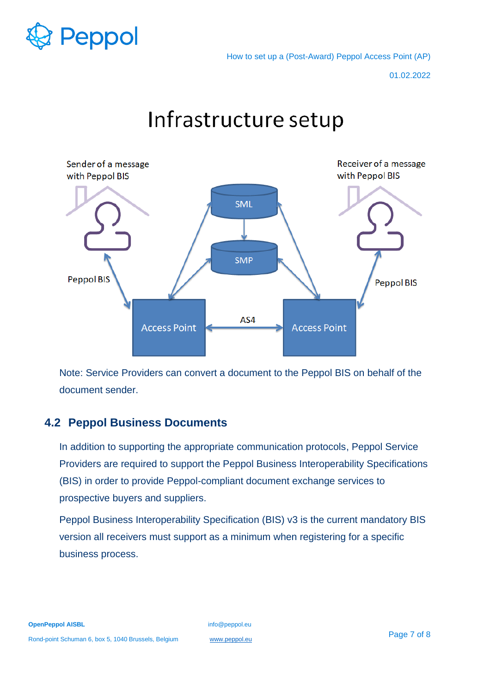

01.02.2022



Infrastructure setup

Note: Service Providers can convert a document to the Peppol BIS on behalf of the document sender.

#### <span id="page-6-0"></span>**4.2 Peppol Business Documents**

In addition to supporting the appropriate communication protocols, Peppol Service Providers are required to support the Peppol Business Interoperability Specifications (BIS) in order to provide Peppol-compliant document exchange services to prospective buyers and suppliers.

Peppol Business Interoperability Specification (BIS) v3 is the current mandatory BIS version all receivers must support as a minimum when registering for a specific business process.